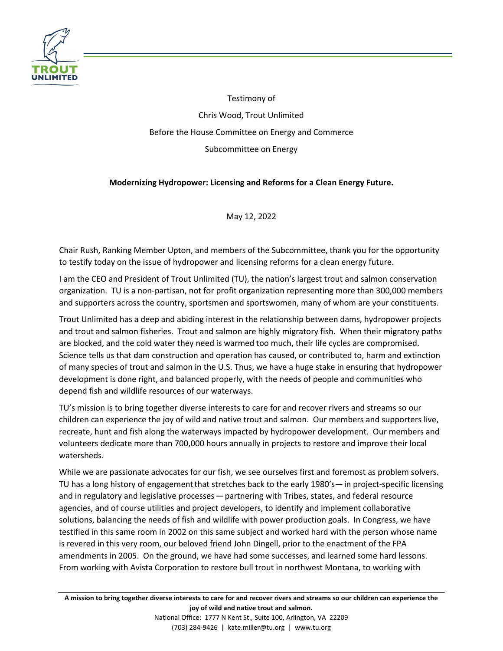

Testimony of Chris Wood, Trout Unlimited Before the House Committee on Energy and Commerce Subcommittee on Energy

# **Modernizing Hydropower: Licensing and Reforms for a Clean Energy Future.**

May 12, 2022

Chair Rush, Ranking Member Upton, and members of the Subcommittee, thank you for the opportunity to testify today on the issue of hydropower and licensing reforms for a clean energy future.

I am the CEO and President of Trout Unlimited (TU), the nation's largest trout and salmon conservation organization. TU is a non-partisan, not for profit organization representing more than 300,000 members and supporters across the country, sportsmen and sportswomen, many of whom are your constituents.

Trout Unlimited has a deep and abiding interest in the relationship between dams, hydropower projects and trout and salmon fisheries. Trout and salmon are highly migratory fish. When their migratory paths are blocked, and the cold water they need is warmed too much, their life cycles are compromised. Science tells us that dam construction and operation has caused, or contributed to, harm and extinction of many species of trout and salmon in the U.S. Thus, we have a huge stake in ensuring that hydropower development is done right, and balanced properly, with the needs of people and communities who depend fish and wildlife resources of our waterways.

TU's mission is to bring together diverse interests to care for and recover rivers and streams so our children can experience the joy of wild and native trout and salmon. Our members and supporters live, recreate, hunt and fish along the waterways impacted by hydropower development. Our members and volunteers dedicate more than 700,000 hours annually in projects to restore and improve their local watersheds.

While we are passionate advocates for our fish, we see ourselves first and foremost as problem solvers. TU has a long history of engagement that stretches back to the early 1980's— in project-specific licensing and in regulatory and legislative processes — partnering with Tribes, states, and federal resource agencies, and of course utilities and project developers, to identify and implement collaborative solutions, balancing the needs of fish and wildlife with power production goals. In Congress, we have testified in this same room in 2002 on this same subject and worked hard with the person whose name is revered in this very room, our beloved friend John Dingell, prior to the enactment of the FPA amendments in 2005. On the ground, we have had some successes, and learned some hard lessons. From working with Avista Corporation to restore bull trout in northwest Montana, to working with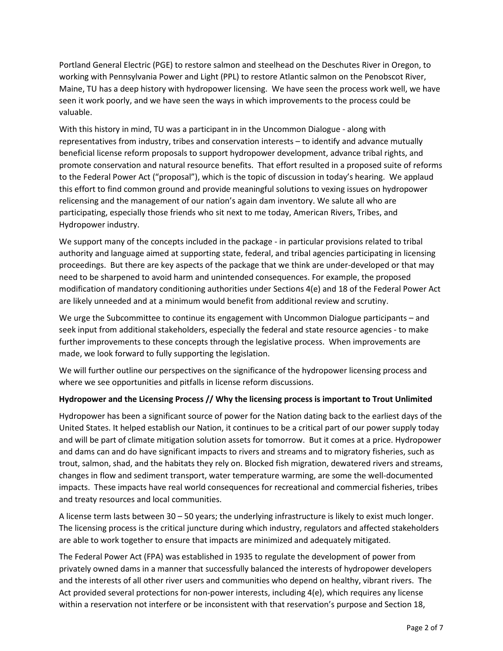Portland General Electric (PGE) to restore salmon and steelhead on the Deschutes River in Oregon, to working with Pennsylvania Power and Light (PPL) to restore Atlantic salmon on the Penobscot River, Maine, TU has a deep history with hydropower licensing. We have seen the process work well, we have seen it work poorly, and we have seen the ways in which improvements to the process could be valuable.

With this history in mind, TU was a participant in in the Uncommon Dialogue - along with representatives from industry, tribes and conservation interests – to identify and advance mutually beneficial license reform proposals to support hydropower development, advance tribal rights, and promote conservation and natural resource benefits. That effort resulted in a proposed suite of reforms to the Federal Power Act ("proposal"), which is the topic of discussion in today's hearing. We applaud this effort to find common ground and provide meaningful solutions to vexing issues on hydropower relicensing and the management of our nation's again dam inventory. We salute all who are participating, especially those friends who sit next to me today, American Rivers, Tribes, and Hydropower industry.

We support many of the concepts included in the package - in particular provisions related to tribal authority and language aimed at supporting state, federal, and tribal agencies participating in licensing proceedings. But there are key aspects of the package that we think are under-developed or that may need to be sharpened to avoid harm and unintended consequences. For example, the proposed modification of mandatory conditioning authorities under Sections 4(e) and 18 of the Federal Power Act are likely unneeded and at a minimum would benefit from additional review and scrutiny.

We urge the Subcommittee to continue its engagement with Uncommon Dialogue participants – and seek input from additional stakeholders, especially the federal and state resource agencies - to make further improvements to these concepts through the legislative process. When improvements are made, we look forward to fully supporting the legislation.

We will further outline our perspectives on the significance of the hydropower licensing process and where we see opportunities and pitfalls in license reform discussions.

## **Hydropower and the Licensing Process // Why the licensing process is important to Trout Unlimited**

Hydropower has been a significant source of power for the Nation dating back to the earliest days of the United States. It helped establish our Nation, it continues to be a critical part of our power supply today and will be part of climate mitigation solution assets for tomorrow. But it comes at a price. Hydropower and dams can and do have significant impacts to rivers and streams and to migratory fisheries, such as trout, salmon, shad, and the habitats they rely on. Blocked fish migration, dewatered rivers and streams, changes in flow and sediment transport, water temperature warming, are some the well-documented impacts. These impacts have real world consequences for recreational and commercial fisheries, tribes and treaty resources and local communities.

A license term lasts between 30 – 50 years; the underlying infrastructure is likely to exist much longer. The licensing process is the critical juncture during which industry, regulators and affected stakeholders are able to work together to ensure that impacts are minimized and adequately mitigated.

The Federal Power Act (FPA) was established in 1935 to regulate the development of power from privately owned dams in a manner that successfully balanced the interests of hydropower developers and the interests of all other river users and communities who depend on healthy, vibrant rivers. The Act provided several protections for non-power interests, including 4(e), which requires any license within a reservation not interfere or be inconsistent with that reservation's purpose and Section 18,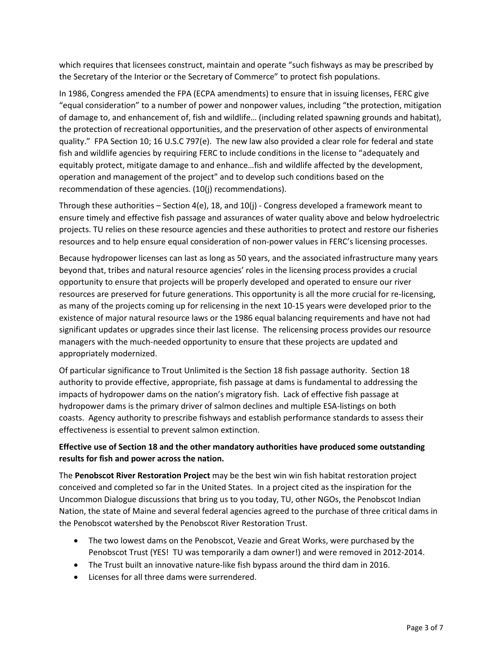which requires that licensees construct, maintain and operate "such fishways as may be prescribed by the Secretary of the Interior or the Secretary of Commerce" to protect fish populations.

In 1986, Congress amended the FPA (ECPA amendments) to ensure that in issuing licenses, FERC give "equal consideration" to a number of power and nonpower values, including "the protection, mitigation of damage to, and enhancement of, fish and wildlife… (including related spawning grounds and habitat), the protection of recreational opportunities, and the preservation of other aspects of environmental quality." FPA Section 10; 16 U.S.C 797(e). The new law also provided a clear role for federal and state fish and wildlife agencies by requiring FERC to include conditions in the license to "adequately and equitably protect, mitigate damage to and enhance…fish and wildlife affected by the development, operation and management of the project" and to develop such conditions based on the recommendation of these agencies. (10(j) recommendations).

Through these authorities – Section 4(e), 18, and 10(j) - Congress developed a framework meant to ensure timely and effective fish passage and assurances of water quality above and below hydroelectric projects. TU relies on these resource agencies and these authorities to protect and restore our fisheries resources and to help ensure equal consideration of non-power values in FERC's licensing processes.

Because hydropower licenses can last as long as 50 years, and the associated infrastructure many years beyond that, tribes and natural resource agencies' roles in the licensing process provides a crucial opportunity to ensure that projects will be properly developed and operated to ensure our river resources are preserved for future generations. This opportunity is all the more crucial for re-licensing, as many of the projects coming up for relicensing in the next 10-15 years were developed prior to the existence of major natural resource laws or the 1986 equal balancing requirements and have not had significant updates or upgrades since their last license. The relicensing process provides our resource managers with the much-needed opportunity to ensure that these projects are updated and appropriately modernized.

Of particular significance to Trout Unlimited is the Section 18 fish passage authority. Section 18 authority to provide effective, appropriate, fish passage at dams is fundamental to addressing the impacts of hydropower dams on the nation's migratory fish. Lack of effective fish passage at hydropower dams is the primary driver of salmon declines and multiple ESA-listings on both coasts. Agency authority to prescribe fishways and establish performance standards to assess their effectiveness is essential to prevent salmon extinction.

## **Effective use of Section 18 and the other mandatory authorities have produced some outstanding results for fish and power across the nation.**

The **Penobscot River Restoration Project** may be the best win win fish habitat restoration project conceived and completed so far in the United States. In a project cited as the inspiration for the Uncommon Dialogue discussions that bring us to you today, TU, other NGOs, the Penobscot Indian Nation, the state of Maine and several federal agencies agreed to the purchase of three critical dams in the Penobscot watershed by the Penobscot River Restoration Trust.

- The two lowest dams on the Penobscot, Veazie and Great Works, were purchased by the Penobscot Trust (YES! TU was temporarily a dam owner!) and were removed in 2012-2014.
- The Trust built an innovative nature-like fish bypass around the third dam in 2016.
- Licenses for all three dams were surrendered.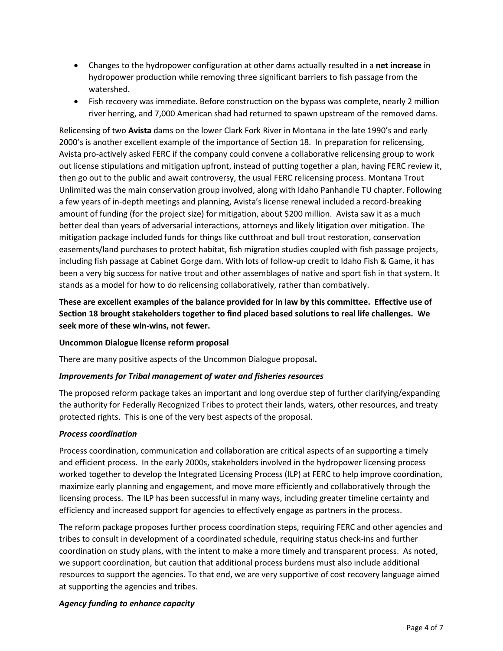- Changes to the hydropower configuration at other dams actually resulted in a **net increase** in hydropower production while removing three significant barriers to fish passage from the watershed.
- Fish recovery was immediate. Before construction on the bypass was complete, nearly 2 million river herring, and 7,000 American shad had returned to spawn upstream of the removed dams.

Relicensing of two **Avista** dams on the lower Clark Fork River in Montana in the late 1990's and early 2000's is another excellent example of the importance of Section 18. In preparation for relicensing, Avista pro-actively asked FERC if the company could convene a collaborative relicensing group to work out license stipulations and mitigation upfront, instead of putting together a plan, having FERC review it, then go out to the public and await controversy, the usual FERC relicensing process. Montana Trout Unlimited was the main conservation group involved, along with Idaho Panhandle TU chapter. Following a few years of in-depth meetings and planning, Avista's license renewal included a record-breaking amount of funding (for the project size) for mitigation, about \$200 million. Avista saw it as a much better deal than years of adversarial interactions, attorneys and likely litigation over mitigation. The mitigation package included funds for things like cutthroat and bull trout restoration, conservation easements/land purchases to protect habitat, fish migration studies coupled with fish passage projects, including fish passage at Cabinet Gorge dam. With lots of follow-up credit to Idaho Fish & Game, it has been a very big success for native trout and other assemblages of native and sport fish in that system. It stands as a model for how to do relicensing collaboratively, rather than combatively.

**These are excellent examples of the balance provided for in law by this committee. Effective use of Section 18 brought stakeholders together to find placed based solutions to real life challenges. We seek more of these win-wins, not fewer.**

### **Uncommon Dialogue license reform proposal**

There are many positive aspects of the Uncommon Dialogue proposal**.**

### *Improvements for Tribal management of water and fisheries resources*

The proposed reform package takes an important and long overdue step of further clarifying/expanding the authority for Federally Recognized Tribes to protect their lands, waters, other resources, and treaty protected rights. This is one of the very best aspects of the proposal.

### *Process coordination*

Process coordination, communication and collaboration are critical aspects of an supporting a timely and efficient process. In the early 2000s, stakeholders involved in the hydropower licensing process worked together to develop the Integrated Licensing Process (ILP) at FERC to help improve coordination, maximize early planning and engagement, and move more efficiently and collaboratively through the licensing process. The ILP has been successful in many ways, including greater timeline certainty and efficiency and increased support for agencies to effectively engage as partners in the process.

The reform package proposes further process coordination steps, requiring FERC and other agencies and tribes to consult in development of a coordinated schedule, requiring status check-ins and further coordination on study plans, with the intent to make a more timely and transparent process. As noted, we support coordination, but caution that additional process burdens must also include additional resources to support the agencies. To that end, we are very supportive of cost recovery language aimed at supporting the agencies and tribes.

## *Agency funding to enhance capacity*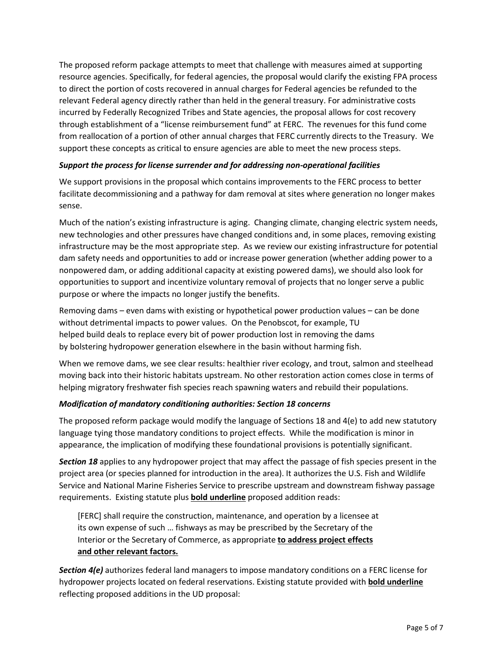The proposed reform package attempts to meet that challenge with measures aimed at supporting resource agencies. Specifically, for federal agencies, the proposal would clarify the existing FPA process to direct the portion of costs recovered in annual charges for Federal agencies be refunded to the relevant Federal agency directly rather than held in the general treasury. For administrative costs incurred by Federally Recognized Tribes and State agencies, the proposal allows for cost recovery through establishment of a "license reimbursement fund" at FERC. The revenues for this fund come from reallocation of a portion of other annual charges that FERC currently directs to the Treasury. We support these concepts as critical to ensure agencies are able to meet the new process steps.

### *Support the process for license surrender and for addressing non-operational facilities*

We support provisions in the proposal which contains improvements to the FERC process to better facilitate decommissioning and a pathway for dam removal at sites where generation no longer makes sense.

Much of the nation's existing infrastructure is aging. Changing climate, changing electric system needs, new technologies and other pressures have changed conditions and, in some places, removing existing infrastructure may be the most appropriate step. As we review our existing infrastructure for potential dam safety needs and opportunities to add or increase power generation (whether adding power to a nonpowered dam, or adding additional capacity at existing powered dams), we should also look for opportunities to support and incentivize voluntary removal of projects that no longer serve a public purpose or where the impacts no longer justify the benefits.

Removing dams – even dams with existing or hypothetical power production values – can be done without detrimental impacts to power values. On the Penobscot, for example, TU helped build deals to replace every bit of power production lost in removing the dams by bolstering hydropower generation elsewhere in the basin without harming fish.

When we remove dams, we see clear results: healthier river ecology, and trout, salmon and steelhead moving back into their historic habitats upstream. No other restoration action comes close in terms of helping migratory freshwater fish species reach spawning waters and rebuild their populations.

### *Modification of mandatory conditioning authorities: Section 18 concerns*

The proposed reform package would modify the language of Sections 18 and 4(e) to add new statutory language tying those mandatory conditions to project effects. While the modification is minor in appearance, the implication of modifying these foundational provisions is potentially significant.

*Section 18* applies to any hydropower project that may affect the passage of fish species present in the project area (or species planned for introduction in the area). It authorizes the U.S. Fish and Wildlife Service and National Marine Fisheries Service to prescribe upstream and downstream fishway passage requirements. Existing statute plus **bold underline** proposed addition reads:

[FERC] shall require the construction, maintenance, and operation by a licensee at its own expense of such … fishways as may be prescribed by the Secretary of the Interior or the Secretary of Commerce, as appropriate **to address project effects and other relevant factors.**

*Section 4(e)* authorizes federal land managers to impose mandatory conditions on a FERC license for hydropower projects located on federal reservations. Existing statute provided with **bold underline** reflecting proposed additions in the UD proposal: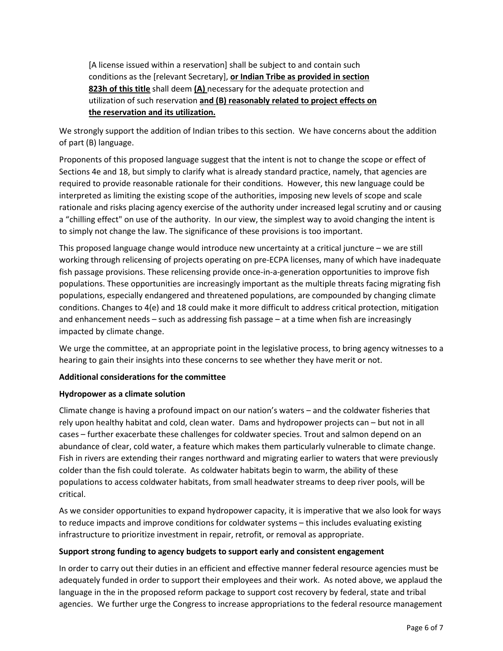[A license issued within a reservation] shall be subject to and contain such conditions as the [relevant Secretary], **or Indian Tribe as provided in section 823h of this title** shall deem **(A)** necessary for the adequate protection and utilization of such reservation **and (B) reasonably related to project effects on the reservation and its utilization.**

We strongly support the addition of Indian tribes to this section. We have concerns about the addition of part (B) language.

Proponents of this proposed language suggest that the intent is not to change the scope or effect of Sections 4e and 18, but simply to clarify what is already standard practice, namely, that agencies are required to provide reasonable rationale for their conditions. However, this new language could be interpreted as limiting the existing scope of the authorities, imposing new levels of scope and scale rationale and risks placing agency exercise of the authority under increased legal scrutiny and or causing a "chilling effect" on use of the authority. In our view, the simplest way to avoid changing the intent is to simply not change the law. The significance of these provisions is too important.

This proposed language change would introduce new uncertainty at a critical juncture – we are still working through relicensing of projects operating on pre-ECPA licenses, many of which have inadequate fish passage provisions. These relicensing provide once-in-a-generation opportunities to improve fish populations. These opportunities are increasingly important as the multiple threats facing migrating fish populations, especially endangered and threatened populations, are compounded by changing climate conditions. Changes to 4(e) and 18 could make it more difficult to address critical protection, mitigation and enhancement needs – such as addressing fish passage – at a time when fish are increasingly impacted by climate change.

We urge the committee, at an appropriate point in the legislative process, to bring agency witnesses to a hearing to gain their insights into these concerns to see whether they have merit or not.

### **Additional considerations for the committee**

#### **Hydropower as a climate solution**

Climate change is having a profound impact on our nation's waters – and the coldwater fisheries that rely upon healthy habitat and cold, clean water. Dams and hydropower projects can – but not in all cases – further exacerbate these challenges for coldwater species. Trout and salmon depend on an abundance of clear, cold water, a feature which makes them particularly vulnerable to climate change. Fish in rivers are extending their ranges northward and migrating earlier to waters that were previously colder than the fish could tolerate. As coldwater habitats begin to warm, the ability of these populations to access coldwater habitats, from small headwater streams to deep river pools, will be critical.

As we consider opportunities to expand hydropower capacity, it is imperative that we also look for ways to reduce impacts and improve conditions for coldwater systems – this includes evaluating existing infrastructure to prioritize investment in repair, retrofit, or removal as appropriate.

#### **Support strong funding to agency budgets to support early and consistent engagement**

In order to carry out their duties in an efficient and effective manner federal resource agencies must be adequately funded in order to support their employees and their work. As noted above, we applaud the language in the in the proposed reform package to support cost recovery by federal, state and tribal agencies. We further urge the Congress to increase appropriations to the federal resource management